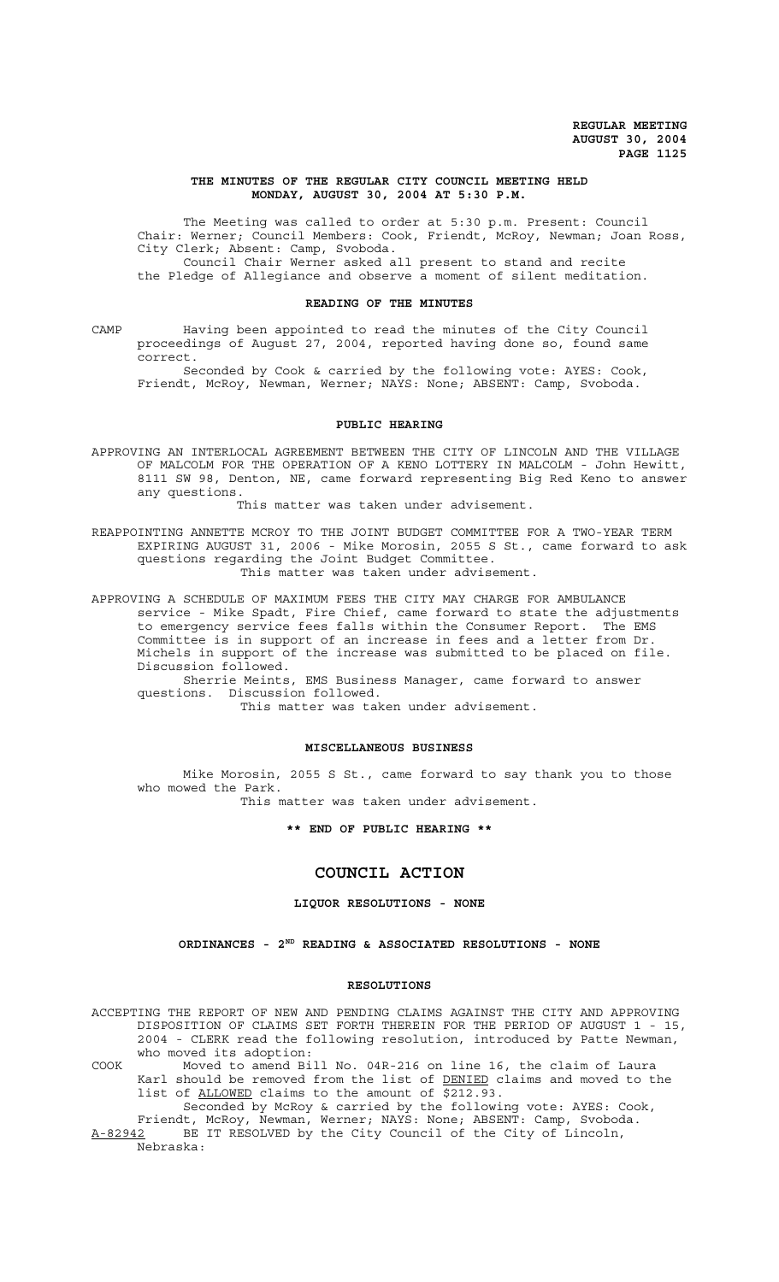### **THE MINUTES OF THE REGULAR CITY COUNCIL MEETING HELD MONDAY, AUGUST 30, 2004 AT 5:30 P.M.**

The Meeting was called to order at 5:30 p.m. Present: Council Chair: Werner; Council Members: Cook, Friendt, McRoy, Newman; Joan Ross, City Clerk; Absent: Camp, Svoboda. Council Chair Werner asked all present to stand and recite the Pledge of Allegiance and observe a moment of silent meditation.

#### **READING OF THE MINUTES**

CAMP Having been appointed to read the minutes of the City Council proceedings of August 27, 2004, reported having done so, found same correct.

Seconded by Cook & carried by the following vote: AYES: Cook, Friendt, McRoy, Newman, Werner; NAYS: None; ABSENT: Camp, Svoboda.

## **PUBLIC HEARING**

APPROVING AN INTERLOCAL AGREEMENT BETWEEN THE CITY OF LINCOLN AND THE VILLAGE OF MALCOLM FOR THE OPERATION OF A KENO LOTTERY IN MALCOLM - John Hewitt, 8111 SW 98, Denton, NE, came forward representing Big Red Keno to answer any questions.

This matter was taken under advisement.

REAPPOINTING ANNETTE MCROY TO THE JOINT BUDGET COMMITTEE FOR A TWO-YEAR TERM EXPIRING AUGUST 31, 2006 - Mike Morosin, 2055 S St., came forward to ask questions regarding the Joint Budget Committee. This matter was taken under advisement.

APPROVING A SCHEDULE OF MAXIMUM FEES THE CITY MAY CHARGE FOR AMBULANCE service - Mike Spadt, Fire Chief, came forward to state the adjustments to emergency service fees falls within the Consumer Report. The EMS Committee is in support of an increase in fees and a letter from Dr. Michels in support of the increase was submitted to be placed on file. Discussion followed.

Sherrie Meints, EMS Business Manager, came forward to answer questions. Discussion followed.

This matter was taken under advisement.

### **MISCELLANEOUS BUSINESS**

Mike Morosin, 2055 S St., came forward to say thank you to those who mowed the Park.

This matter was taken under advisement.

### **\*\* END OF PUBLIC HEARING \*\***

# **COUNCIL ACTION**

# **LIQUOR RESOLUTIONS - NONE**

### **ORDINANCES - 2ND READING & ASSOCIATED RESOLUTIONS - NONE**

#### **RESOLUTIONS**

ACCEPTING THE REPORT OF NEW AND PENDING CLAIMS AGAINST THE CITY AND APPROVING DISPOSITION OF CLAIMS SET FORTH THEREIN FOR THE PERIOD OF AUGUST 1 - 15, 2004 - CLERK read the following resolution, introduced by Patte Newman, who moved its adoption:

- COOK Moved to amend Bill No. 04R-216 on line 16, the claim of Laura Karl should be removed from the list of DENIED claims and moved to the list of ALLOWED claims to the amount of \$212.93.
- Seconded by McRoy & carried by the following vote: AYES: Cook, Friendt, McRoy, Newman, Werner; NAYS: None; ABSENT: Camp, Svoboda. A-82942 BE IT RESOLVED by the City Council of the City of Lincoln,

Nebraska: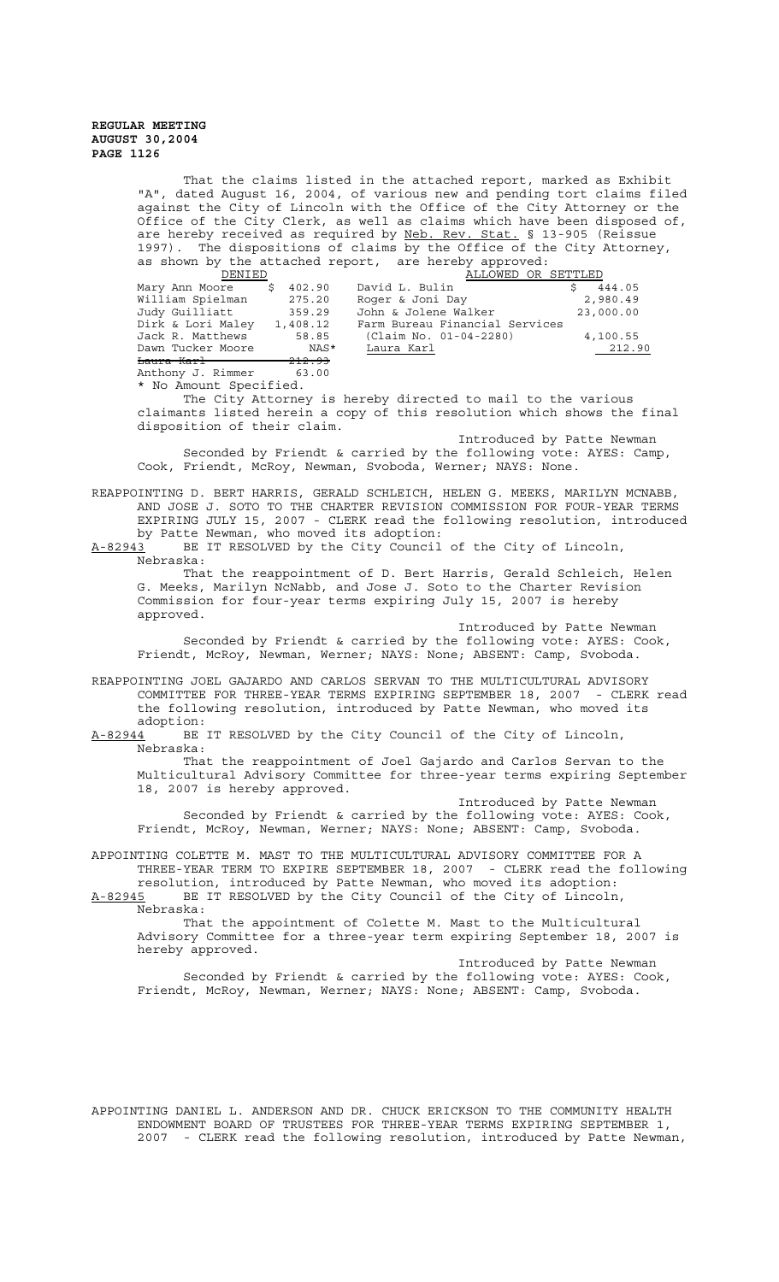> That the claims listed in the attached report, marked as Exhibit "A", dated August 16, 2004, of various new and pending tort claims filed against the City of Lincoln with the Office of the City Attorney or the Office of the City Clerk, as well as claims which have been disposed of, are hereby received as required by Neb. Rev. Stat. § 13-905 (Reissue 1997). The dispositions of claims by the Office of the City Attorney, as shown by the attached report, are hereby approved:

| DENIED                  |                   | ALLOWED OR SETTLED             |           |
|-------------------------|-------------------|--------------------------------|-----------|
| Mary Ann Moore          | 402.90<br>S.      | David L. Bulin                 | 444.05    |
| William Spielman        | 275.20            | Roger & Joni Day               | 2,980.49  |
| Judy Guilliatt          | 359.29            | John & Jolene Walker           | 23,000.00 |
| Dirk & Lori Maley       | 1,408.12          | Farm Bureau Financial Services |           |
| Jack R. Matthews        | 58.85             | (Claim No. 01-04-2280)         | 4,100.55  |
| Dawn Tucker Moore       | NAS*              | Laura Karl                     | 212.90    |
| <del>Laura Karl —</del> | <del>212.93</del> |                                |           |
| Anthony J. Rimmer       | 63.00             |                                |           |

No Amount Specified.

The City Attorney is hereby directed to mail to the various claimants listed herein a copy of this resolution which shows the final disposition of their claim.

Introduced by Patte Newman Seconded by Friendt & carried by the following vote: AYES: Camp, Cook, Friendt, McRoy, Newman, Svoboda, Werner; NAYS: None.

REAPPOINTING D. BERT HARRIS, GERALD SCHLEICH, HELEN G. MEEKS, MARILYN MCNABB, AND JOSE J. SOTO TO THE CHARTER REVISION COMMISSION FOR FOUR-YEAR TERMS EXPIRING JULY 15, 2007 - CLERK read the following resolution, introduced by Patte Newman, who moved its adoption:<br>A-82943 BE IT RESOLVED by the City Council

BE IT RESOLVED by the City Council of the City of Lincoln, Nebraska:

That the reappointment of D. Bert Harris, Gerald Schleich, Helen G. Meeks, Marilyn NcNabb, and Jose J. Soto to the Charter Revision Commission for four-year terms expiring July 15, 2007 is hereby approved.

Introduced by Patte Newman Seconded by Friendt & carried by the following vote: AYES: Cook, Friendt, McRoy, Newman, Werner; NAYS: None; ABSENT: Camp, Svoboda.

REAPPOINTING JOEL GAJARDO AND CARLOS SERVAN TO THE MULTICULTURAL ADVISORY COMMITTEE FOR THREE-YEAR TERMS EXPIRING SEPTEMBER 18, 2007 - CLERK read the following resolution, introduced by Patte Newman, who moved its

 $\frac{\text{adoption:}}{\text{A}-82944}$  BE BE IT RESOLVED by the City Council of the City of Lincoln, Nebraska:

That the reappointment of Joel Gajardo and Carlos Servan to the Multicultural Advisory Committee for three-year terms expiring September 18, 2007 is hereby approved.

Introduced by Patte Newman Seconded by Friendt & carried by the following vote: AYES: Cook, Friendt, McRoy, Newman, Werner; NAYS: None; ABSENT: Camp, Svoboda.

APPOINTING COLETTE M. MAST TO THE MULTICULTURAL ADVISORY COMMITTEE FOR A THREE-YEAR TERM TO EXPIRE SEPTEMBER 18, 2007 - CLERK read the following

resolution, introduced by Patte Newman, who moved its adoption: A-82945 BE IT RESOLVED by the City Council of the City of Lincoln, Nebraska:

That the appointment of Colette M. Mast to the Multicultural Advisory Committee for a three-year term expiring September 18, 2007 is hereby approved.

Introduced by Patte Newman Seconded by Friendt & carried by the following vote: AYES: Cook, Friendt, McRoy, Newman, Werner; NAYS: None; ABSENT: Camp, Svoboda.

APPOINTING DANIEL L. ANDERSON AND DR. CHUCK ERICKSON TO THE COMMUNITY HEALTH ENDOWMENT BOARD OF TRUSTEES FOR THREE-YEAR TERMS EXPIRING SEPTEMBER 1, 2007 - CLERK read the following resolution, introduced by Patte Newman,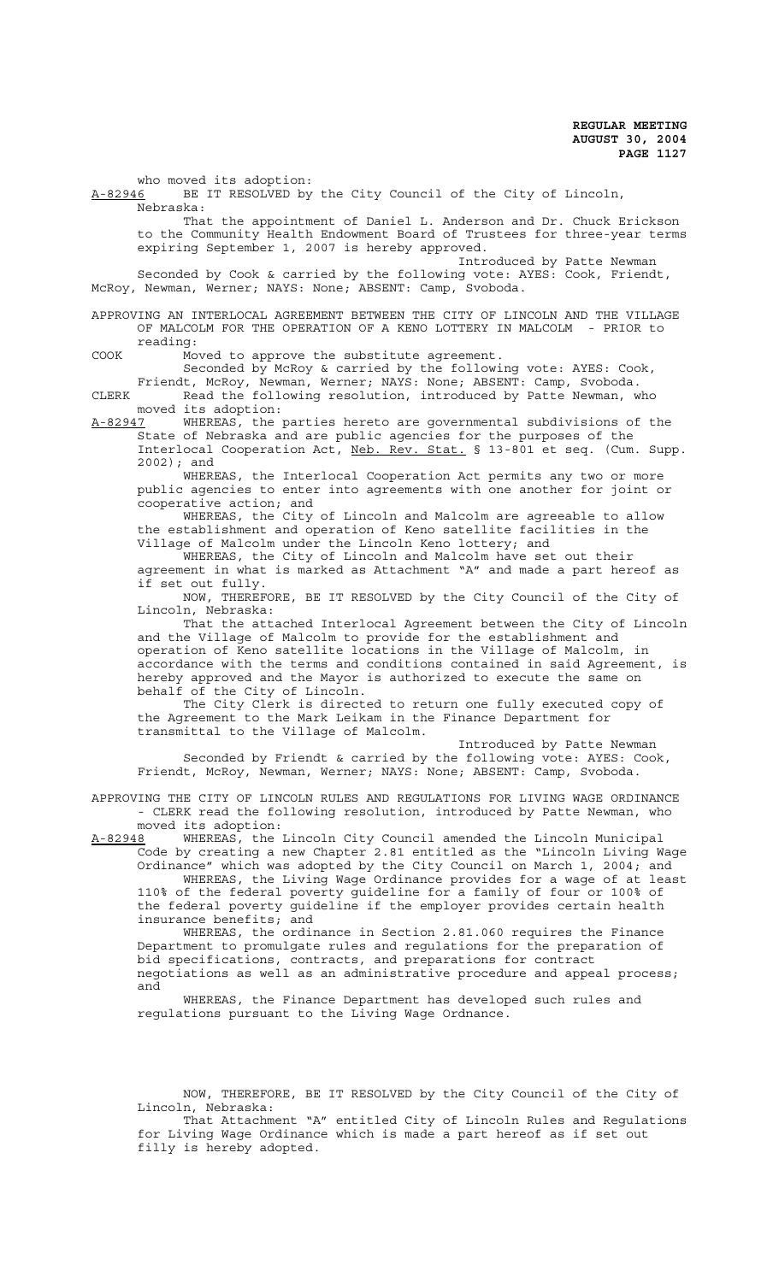who moved its adoption:

A-82946 BE IT RESOLVED by the City Council of the City of Lincoln, Nebraska:

That the appointment of Daniel L. Anderson and Dr. Chuck Erickson to the Community Health Endowment Board of Trustees for three-year terms expiring September 1, 2007 is hereby approved.

Introduced by Patte Newman Seconded by Cook & carried by the following vote: AYES: Cook, Friendt, McRoy, Newman, Werner; NAYS: None; ABSENT: Camp, Svoboda.

APPROVING AN INTERLOCAL AGREEMENT BETWEEN THE CITY OF LINCOLN AND THE VILLAGE OF MALCOLM FOR THE OPERATION OF A KENO LOTTERY IN MALCOLM - PRIOR to reading:

COOK Moved to approve the substitute agreement.

Seconded by McRoy & carried by the following vote: AYES: Cook, Friendt, McRoy, Newman, Werner; NAYS: None; ABSENT: Camp, Svoboda. CLERK Read the following resolution, introduced by Patte Newman, who moved its adoption:

A-82947 WHEREAS, the parties hereto are governmental subdivisions of the State of Nebraska and are public agencies for the purposes of the Interlocal Cooperation Act, Neb. Rev. Stat. § 13-801 et seq. (Cum. Supp. 2002); and

WHEREAS, the Interlocal Cooperation Act permits any two or more public agencies to enter into agreements with one another for joint or cooperative action; and

WHEREAS, the City of Lincoln and Malcolm are agreeable to allow the establishment and operation of Keno satellite facilities in the Village of Malcolm under the Lincoln Keno lottery; and

WHEREAS, the City of Lincoln and Malcolm have set out their agreement in what is marked as Attachment "A" and made a part hereof as if set out fully.

NOW, THEREFORE, BE IT RESOLVED by the City Council of the City of Lincoln, Nebraska:

That the attached Interlocal Agreement between the City of Lincoln and the Village of Malcolm to provide for the establishment and operation of Keno satellite locations in the Village of Malcolm, in accordance with the terms and conditions contained in said Agreement, is hereby approved and the Mayor is authorized to execute the same on behalf of the City of Lincoln.

The City Clerk is directed to return one fully executed copy of the Agreement to the Mark Leikam in the Finance Department for transmittal to the Village of Malcolm.

Introduced by Patte Newman Seconded by Friendt & carried by the following vote: AYES: Cook, Friendt, McRoy, Newman, Werner; NAYS: None; ABSENT: Camp, Svoboda.

APPROVING THE CITY OF LINCOLN RULES AND REGULATIONS FOR LIVING WAGE ORDINANCE - CLERK read the following resolution, introduced by Patte Newman, who

moved its adoption:<br>A-82948 WHEREAS, the A-82948 WHEREAS, the Lincoln City Council amended the Lincoln Municipal Code by creating a new Chapter 2.81 entitled as the "Lincoln Living Wage Ordinance" which was adopted by the City Council on March 1, 2004; and

WHEREAS, the Living Wage Ordinance provides for a wage of at least 110% of the federal poverty guideline for a family of four or 100% of the federal poverty guideline if the employer provides certain health insurance benefits; and

WHEREAS, the ordinance in Section 2.81.060 requires the Finance Department to promulgate rules and regulations for the preparation of bid specifications, contracts, and preparations for contract negotiations as well as an administrative procedure and appeal process; and

WHEREAS, the Finance Department has developed such rules and regulations pursuant to the Living Wage Ordnance.

NOW, THEREFORE, BE IT RESOLVED by the City Council of the City of Lincoln, Nebraska:

That Attachment "A" entitled City of Lincoln Rules and Regulations for Living Wage Ordinance which is made a part hereof as if set out filly is hereby adopted.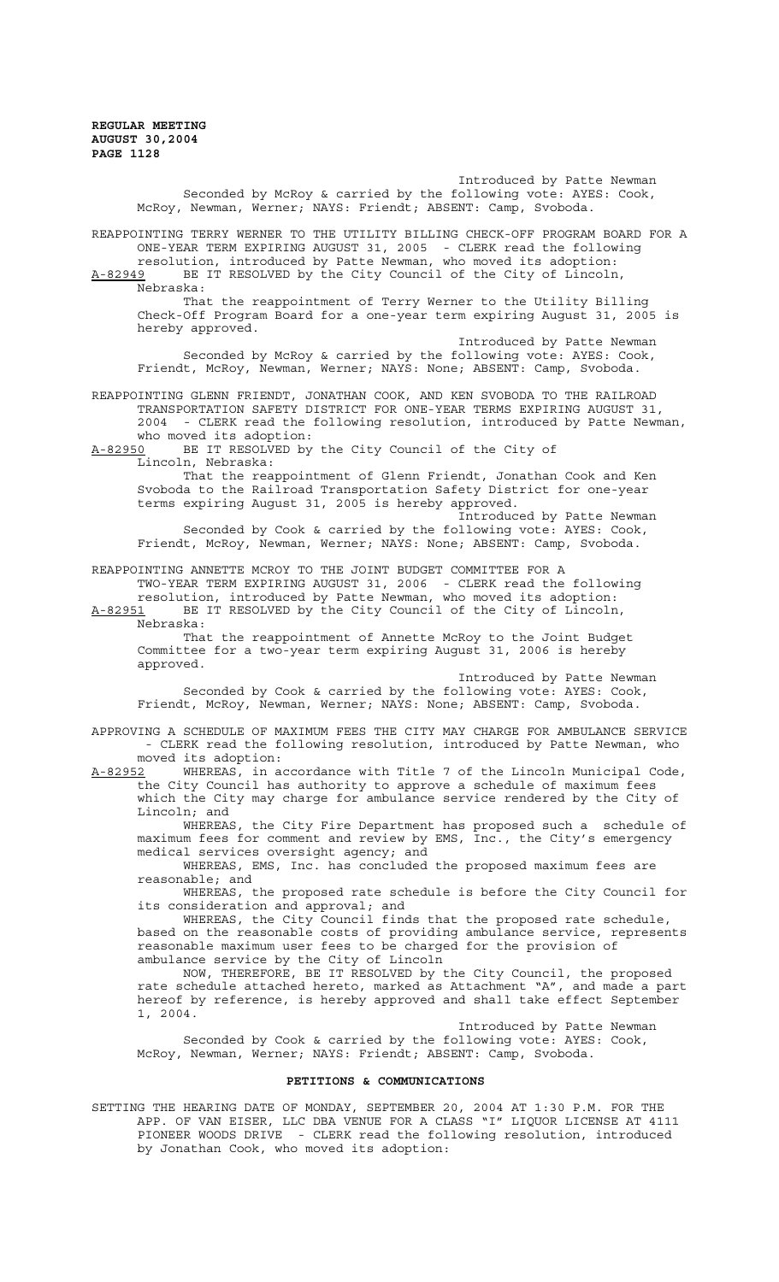Introduced by Patte Newman Seconded by McRoy & carried by the following vote: AYES: Cook, McRoy, Newman, Werner; NAYS: Friendt; ABSENT: Camp, Svoboda. REAPPOINTING TERRY WERNER TO THE UTILITY BILLING CHECK-OFF PROGRAM BOARD FOR A ONE-YEAR TERM EXPIRING AUGUST 31, 2005 - CLERK read the following resolution, introduced by Patte Newman, who moved its adoption: A-82949 BE IT RESOLVED by the City Council of the City of Lincoln, Nebraska: That the reappointment of Terry Werner to the Utility Billing Check-Off Program Board for a one-year term expiring August 31, 2005 is hereby approved. Introduced by Patte Newman Seconded by McRoy & carried by the following vote: AYES: Cook, Friendt, McRoy, Newman, Werner; NAYS: None; ABSENT: Camp, Svoboda. REAPPOINTING GLENN FRIENDT, JONATHAN COOK, AND KEN SVOBODA TO THE RAILROAD TRANSPORTATION SAFETY DISTRICT FOR ONE-YEAR TERMS EXPIRING AUGUST 31, 2004 - CLERK read the following resolution, introduced by Patte Newman, who moved its adoption: A-82950 BE IT RESOLVED by the City Council of the City of Lincoln, Nebraska: That the reappointment of Glenn Friendt, Jonathan Cook and Ken Svoboda to the Railroad Transportation Safety District for one-year terms expiring August 31, 2005 is hereby approved. Introduced by Patte Newman Seconded by Cook & carried by the following vote: AYES: Cook, Friendt, McRoy, Newman, Werner; NAYS: None; ABSENT: Camp, Svoboda. REAPPOINTING ANNETTE MCROY TO THE JOINT BUDGET COMMITTEE FOR A TWO-YEAR TERM EXPIRING AUGUST 31, 2006 - CLERK read the following resolution, introduced by Patte Newman, who moved its adoption: A-82951 BE IT RESOLVED by the City Council of the City of Lincoln, Nebraska: That the reappointment of Annette McRoy to the Joint Budget Committee for a two-year term expiring August 31, 2006 is hereby approved. Introduced by Patte Newman Seconded by Cook & carried by the following vote: AYES: Cook, Friendt, McRoy, Newman, Werner; NAYS: None; ABSENT: Camp, Svoboda. APPROVING A SCHEDULE OF MAXIMUM FEES THE CITY MAY CHARGE FOR AMBULANCE SERVICE - CLERK read the following resolution, introduced by Patte Newman, who moved its adoption: A-82952 WHEREAS, in accordance with Title 7 of the Lincoln Municipal Code, the City Council has authority to approve a schedule of maximum fees which the City may charge for ambulance service rendered by the City of Lincoln; and WHEREAS, the City Fire Department has proposed such a schedule of maximum fees for comment and review by EMS, Inc., the City's emergency medical services oversight agency; and WHEREAS, EMS, Inc. has concluded the proposed maximum fees are reasonable; and WHEREAS, the proposed rate schedule is before the City Council for its consideration and approval; and WHEREAS, the City Council finds that the proposed rate schedule, based on the reasonable costs of providing ambulance service, represents reasonable maximum user fees to be charged for the provision of ambulance service by the City of Lincoln NOW, THEREFORE, BE IT RESOLVED by the City Council, the proposed rate schedule attached hereto, marked as Attachment "A", and made a part hereof by reference, is hereby approved and shall take effect September 1, 2004. Introduced by Patte Newman Seconded by Cook & carried by the following vote: AYES: Cook, McRoy, Newman, Werner; NAYS: Friendt; ABSENT: Camp, Svoboda. **PETITIONS & COMMUNICATIONS**  SETTING THE HEARING DATE OF MONDAY, SEPTEMBER 20, 2004 AT 1:30 P.M. FOR THE

APP. OF VAN EISER, LLC DBA VENUE FOR A CLASS "I" LIQUOR LICENSE AT 4111 PIONEER WOODS DRIVE - CLERK read the following resolution, introduced by Jonathan Cook, who moved its adoption: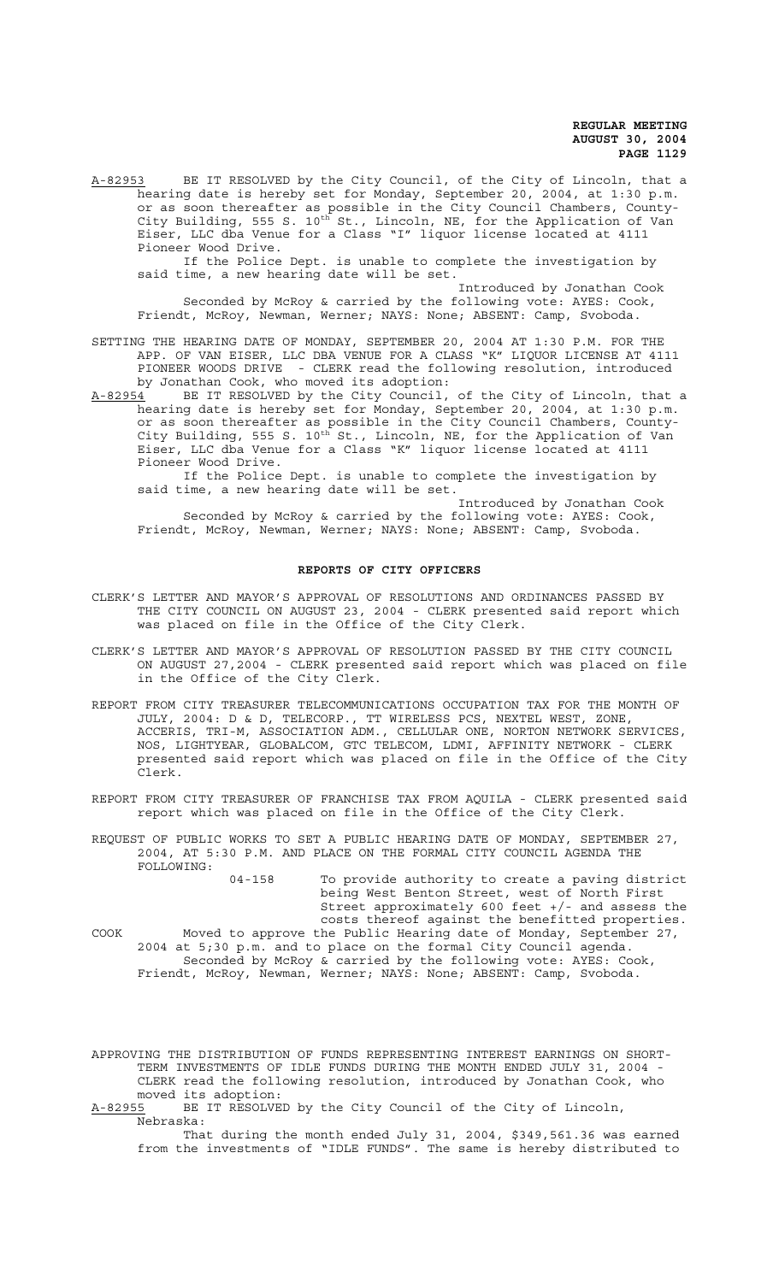A-82953 BE IT RESOLVED by the City Council, of the City of Lincoln, that a hearing date is hereby set for Monday, September 20, 2004, at 1:30 p.m. or as soon thereafter as possible in the City Council Chambers, County-City Building, 555 S. 10<sup>th</sup> St., Lincoln, NE, for the Application of Van Eiser, LLC dba Venue for a Class "I" liquor license located at 4111 Pioneer Wood Drive.

If the Police Dept. is unable to complete the investigation by said time, a new hearing date will be set.

Introduced by Jonathan Cook Seconded by McRoy & carried by the following vote: AYES: Cook, Friendt, McRoy, Newman, Werner; NAYS: None; ABSENT: Camp, Svoboda.

SETTING THE HEARING DATE OF MONDAY, SEPTEMBER 20, 2004 AT 1:30 P.M. FOR THE APP. OF VAN EISER, LLC DBA VENUE FOR A CLASS "K" LIQUOR LICENSE AT 4111 PIONEER WOODS DRIVE - CLERK read the following resolution, introduced by Jonathan Cook, who moved its adoption:

A-82954 BE IT RESOLVED by the City Council, of the City of Lincoln, that a hearing date is hereby set for Monday, September 20, 2004, at 1:30 p.m. or as soon thereafter as possible in the City Council Chambers, County-City Building, 555 S. 10<sup>th</sup> St., Lincoln, NE, for the Application of Van Eiser, LLC dba Venue for a Class "K" liquor license located at 4111 Pioneer Wood Drive.

If the Police Dept. is unable to complete the investigation by said time, a new hearing date will be set.

Introduced by Jonathan Cook Seconded by McRoy & carried by the following vote: AYES: Cook, Friendt, McRoy, Newman, Werner; NAYS: None; ABSENT: Camp, Svoboda.

### **REPORTS OF CITY OFFICERS**

- CLERK'S LETTER AND MAYOR'S APPROVAL OF RESOLUTIONS AND ORDINANCES PASSED BY THE CITY COUNCIL ON AUGUST 23, 2004 - CLERK presented said report which was placed on file in the Office of the City Clerk.
- CLERK'S LETTER AND MAYOR'S APPROVAL OF RESOLUTION PASSED BY THE CITY COUNCIL ON AUGUST 27,2004 - CLERK presented said report which was placed on file in the Office of the City Clerk.
- REPORT FROM CITY TREASURER TELECOMMUNICATIONS OCCUPATION TAX FOR THE MONTH OF JULY, 2004: D & D, TELECORP., TT WIRELESS PCS, NEXTEL WEST, ZONE, ACCERIS, TRI-M, ASSOCIATION ADM., CELLULAR ONE, NORTON NETWORK SERVICES, NOS, LIGHTYEAR, GLOBALCOM, GTC TELECOM, LDMI, AFFINITY NETWORK - CLERK presented said report which was placed on file in the Office of the City Clerk.
- REPORT FROM CITY TREASURER OF FRANCHISE TAX FROM AQUILA CLERK presented said report which was placed on file in the Office of the City Clerk.

REQUEST OF PUBLIC WORKS TO SET A PUBLIC HEARING DATE OF MONDAY, SEPTEMBER 27, 2004, AT 5:30 P.M. AND PLACE ON THE FORMAL CITY COUNCIL AGENDA THE FOLLOWING:

> 04-158 To provide authority to create a paving district being West Benton Street, west of North First Street approximately 600 feet +/- and assess the costs thereof against the benefitted properties.

COOK Moved to approve the Public Hearing date of Monday, September 27, 2004 at 5;30 p.m. and to place on the formal City Council agenda. Seconded by McRoy & carried by the following vote: AYES: Cook, Friendt, McRoy, Newman, Werner; NAYS: None; ABSENT: Camp, Svoboda.

APPROVING THE DISTRIBUTION OF FUNDS REPRESENTING INTEREST EARNINGS ON SHORT-TERM INVESTMENTS OF IDLE FUNDS DURING THE MONTH ENDED JULY 31, 2004 - CLERK read the following resolution, introduced by Jonathan Cook, who moved its adoption:

A-82955 BE IT RESOLVED by the City Council of the City of Lincoln, Nebraska:

That during the month ended July 31, 2004, \$349,561.36 was earned from the investments of "IDLE FUNDS". The same is hereby distributed to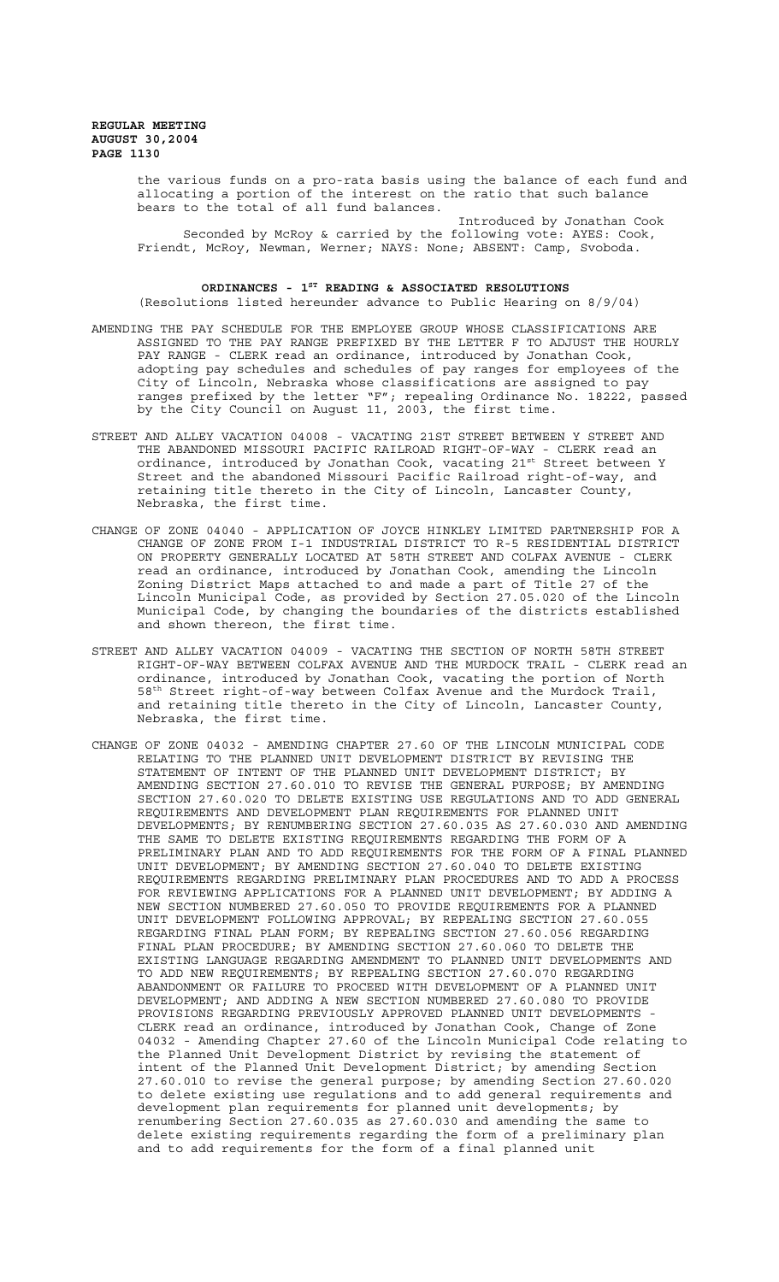> the various funds on a pro-rata basis using the balance of each fund and allocating a portion of the interest on the ratio that such balance bears to the total of all fund balances.

Introduced by Jonathan Cook Seconded by McRoy & carried by the following vote: AYES: Cook, Friendt, McRoy, Newman, Werner; NAYS: None; ABSENT: Camp, Svoboda.

## ORDINANCES - 1<sup>st</sup> READING & ASSOCIATED RESOLUTIONS

(Resolutions listed hereunder advance to Public Hearing on 8/9/04)

- AMENDING THE PAY SCHEDULE FOR THE EMPLOYEE GROUP WHOSE CLASSIFICATIONS ARE ASSIGNED TO THE PAY RANGE PREFIXED BY THE LETTER F TO ADJUST THE HOURLY PAY RANGE - CLERK read an ordinance, introduced by Jonathan Cook, adopting pay schedules and schedules of pay ranges for employees of the City of Lincoln, Nebraska whose classifications are assigned to pay ranges prefixed by the letter "F"; repealing Ordinance No. 18222, passed by the City Council on August 11, 2003, the first time.
- STREET AND ALLEY VACATION 04008 VACATING 21ST STREET BETWEEN Y STREET AND THE ABANDONED MISSOURI PACIFIC RAILROAD RIGHT-OF-WAY - CLERK read an ordinance, introduced by Jonathan Cook, vacating 21st Street between Y Street and the abandoned Missouri Pacific Railroad right-of-way, and retaining title thereto in the City of Lincoln, Lancaster County, Nebraska, the first time.
- CHANGE OF ZONE 04040 APPLICATION OF JOYCE HINKLEY LIMITED PARTNERSHIP FOR A CHANGE OF ZONE FROM I-1 INDUSTRIAL DISTRICT TO R-5 RESIDENTIAL DISTRICT ON PROPERTY GENERALLY LOCATED AT 58TH STREET AND COLFAX AVENUE - CLERK read an ordinance, introduced by Jonathan Cook, amending the Lincoln Zoning District Maps attached to and made a part of Title 27 of the Lincoln Municipal Code, as provided by Section 27.05.020 of the Lincoln Municipal Code, by changing the boundaries of the districts established and shown thereon, the first time.
- STREET AND ALLEY VACATION 04009 VACATING THE SECTION OF NORTH 58TH STREET RIGHT-OF-WAY BETWEEN COLFAX AVENUE AND THE MURDOCK TRAIL - CLERK read an ordinance, introduced by Jonathan Cook, vacating the portion of North 58th Street right-of-way between Colfax Avenue and the Murdock Trail, and retaining title thereto in the City of Lincoln, Lancaster County, Nebraska, the first time.
- CHANGE OF ZONE 04032 AMENDING CHAPTER 27.60 OF THE LINCOLN MUNICIPAL CODE RELATING TO THE PLANNED UNIT DEVELOPMENT DISTRICT BY REVISING THE STATEMENT OF INTENT OF THE PLANNED UNIT DEVELOPMENT DISTRICT; BY AMENDING SECTION 27.60.010 TO REVISE THE GENERAL PURPOSE; BY AMENDING SECTION 27.60.020 TO DELETE EXISTING USE REGULATIONS AND TO ADD GENERAL REQUIREMENTS AND DEVELOPMENT PLAN REQUIREMENTS FOR PLANNED UNIT DEVELOPMENTS; BY RENUMBERING SECTION 27.60.035 AS 27.60.030 AND AMENDING THE SAME TO DELETE EXISTING REQUIREMENTS REGARDING THE FORM OF A PRELIMINARY PLAN AND TO ADD REQUIREMENTS FOR THE FORM OF A FINAL PLANNED UNIT DEVELOPMENT; BY AMENDING SECTION 27.60.040 TO DELETE EXISTING REQUIREMENTS REGARDING PRELIMINARY PLAN PROCEDURES AND TO ADD A PROCESS FOR REVIEWING APPLICATIONS FOR A PLANNED UNIT DEVELOPMENT; BY ADDING A NEW SECTION NUMBERED 27.60.050 TO PROVIDE REQUIREMENTS FOR A PLANNED UNIT DEVELOPMENT FOLLOWING APPROVAL; BY REPEALING SECTION 27.60.055 REGARDING FINAL PLAN FORM; BY REPEALING SECTION 27.60.056 REGARDING FINAL PLAN PROCEDURE; BY AMENDING SECTION 27.60.060 TO DELETE THE EXISTING LANGUAGE REGARDING AMENDMENT TO PLANNED UNIT DEVELOPMENTS AND TO ADD NEW REQUIREMENTS; BY REPEALING SECTION 27.60.070 REGARDING ABANDONMENT OR FAILURE TO PROCEED WITH DEVELOPMENT OF A PLANNED UNIT DEVELOPMENT; AND ADDING A NEW SECTION NUMBERED 27.60.080 TO PROVIDE PROVISIONS REGARDING PREVIOUSLY APPROVED PLANNED UNIT DEVELOPMENTS -CLERK read an ordinance, introduced by Jonathan Cook, Change of Zone 04032 - Amending Chapter 27.60 of the Lincoln Municipal Code relating to the Planned Unit Development District by revising the statement of intent of the Planned Unit Development District; by amending Section 27.60.010 to revise the general purpose; by amending Section 27.60.020 to delete existing use regulations and to add general requirements and development plan requirements for planned unit developments; by renumbering Section 27.60.035 as 27.60.030 and amending the same to delete existing requirements regarding the form of a preliminary plan and to add requirements for the form of a final planned unit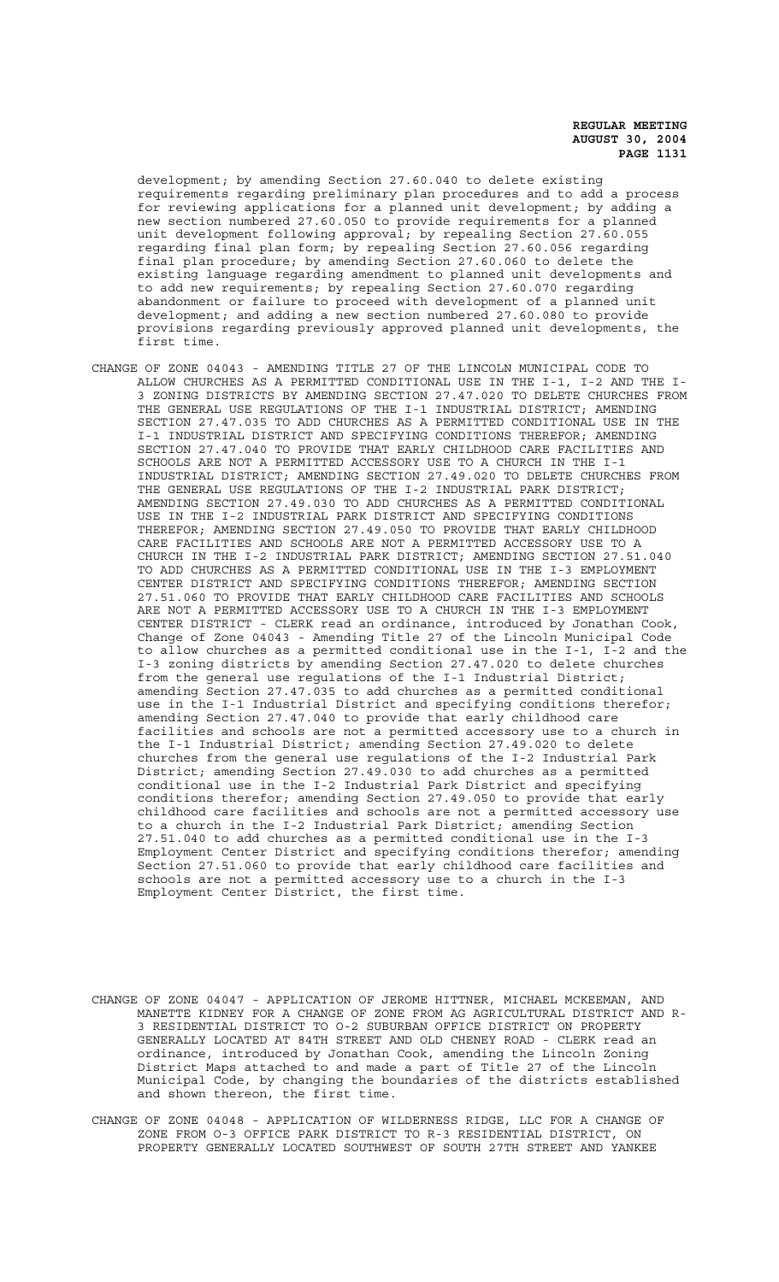development; by amending Section 27.60.040 to delete existing requirements regarding preliminary plan procedures and to add a process for reviewing applications for a planned unit development; by adding a new section numbered 27.60.050 to provide requirements for a planned unit development following approval; by repealing Section 27.60.055 regarding final plan form; by repealing Section 27.60.056 regarding final plan procedure; by amending Section 27.60.060 to delete the existing language regarding amendment to planned unit developments and to add new requirements; by repealing Section 27.60.070 regarding abandonment or failure to proceed with development of a planned unit development; and adding a new section numbered 27.60.080 to provide provisions regarding previously approved planned unit developments, the first time.

- CHANGE OF ZONE 04043 AMENDING TITLE 27 OF THE LINCOLN MUNICIPAL CODE TO ALLOW CHURCHES AS A PERMITTED CONDITIONAL USE IN THE I-1, I-2 AND THE I-3 ZONING DISTRICTS BY AMENDING SECTION 27.47.020 TO DELETE CHURCHES FROM THE GENERAL USE REGULATIONS OF THE I-1 INDUSTRIAL DISTRICT; AMENDING SECTION 27.47.035 TO ADD CHURCHES AS A PERMITTED CONDITIONAL USE IN THE I-1 INDUSTRIAL DISTRICT AND SPECIFYING CONDITIONS THEREFOR; AMENDING SECTION 27.47.040 TO PROVIDE THAT EARLY CHILDHOOD CARE FACILITIES AND SCHOOLS ARE NOT A PERMITTED ACCESSORY USE TO A CHURCH IN THE I-1 INDUSTRIAL DISTRICT; AMENDING SECTION 27.49.020 TO DELETE CHURCHES FROM THE GENERAL USE REGULATIONS OF THE I-2 INDUSTRIAL PARK DISTRICT; AMENDING SECTION 27.49.030 TO ADD CHURCHES AS A PERMITTED CONDITIONAL USE IN THE I-2 INDUSTRIAL PARK DISTRICT AND SPECIFYING CONDITIONS THEREFOR; AMENDING SECTION 27.49.050 TO PROVIDE THAT EARLY CHILDHOOD CARE FACILITIES AND SCHOOLS ARE NOT A PERMITTED ACCESSORY USE TO A CHURCH IN THE I-2 INDUSTRIAL PARK DISTRICT; AMENDING SECTION 27.51.040 TO ADD CHURCHES AS A PERMITTED CONDITIONAL USE IN THE I-3 EMPLOYMENT CENTER DISTRICT AND SPECIFYING CONDITIONS THEREFOR; AMENDING SECTION 27.51.060 TO PROVIDE THAT EARLY CHILDHOOD CARE FACILITIES AND SCHOOLS ARE NOT A PERMITTED ACCESSORY USE TO A CHURCH IN THE I-3 EMPLOYMENT CENTER DISTRICT - CLERK read an ordinance, introduced by Jonathan Cook, Change of Zone 04043 - Amending Title 27 of the Lincoln Municipal Code to allow churches as a permitted conditional use in the I-1, I-2 and the I-3 zoning districts by amending Section 27.47.020 to delete churches from the general use regulations of the I-1 Industrial District; amending Section 27.47.035 to add churches as a permitted conditional use in the I-1 Industrial District and specifying conditions therefor; amending Section 27.47.040 to provide that early childhood care facilities and schools are not a permitted accessory use to a church in the I-1 Industrial District; amending Section 27.49.020 to delete churches from the general use regulations of the I-2 Industrial Park District; amending Section 27.49.030 to add churches as a permitted conditional use in the I-2 Industrial Park District and specifying conditions therefor; amending Section 27.49.050 to provide that early childhood care facilities and schools are not a permitted accessory use to a church in the I-2 Industrial Park District; amending Section 27.51.040 to add churches as a permitted conditional use in the I-3 Employment Center District and specifying conditions therefor; amending Section 27.51.060 to provide that early childhood care facilities and schools are not a permitted accessory use to a church in the I-3 Employment Center District, the first time.
- CHANGE OF ZONE 04047 APPLICATION OF JEROME HITTNER, MICHAEL MCKEEMAN, AND MANETTE KIDNEY FOR A CHANGE OF ZONE FROM AG AGRICULTURAL DISTRICT AND R-3 RESIDENTIAL DISTRICT TO O-2 SUBURBAN OFFICE DISTRICT ON PROPERTY GENERALLY LOCATED AT 84TH STREET AND OLD CHENEY ROAD - CLERK read an ordinance, introduced by Jonathan Cook, amending the Lincoln Zoning District Maps attached to and made a part of Title 27 of the Lincoln Municipal Code, by changing the boundaries of the districts established and shown thereon, the first time.
- CHANGE OF ZONE 04048 APPLICATION OF WILDERNESS RIDGE, LLC FOR A CHANGE OF ZONE FROM O-3 OFFICE PARK DISTRICT TO R-3 RESIDENTIAL DISTRICT, ON PROPERTY GENERALLY LOCATED SOUTHWEST OF SOUTH 27TH STREET AND YANKEE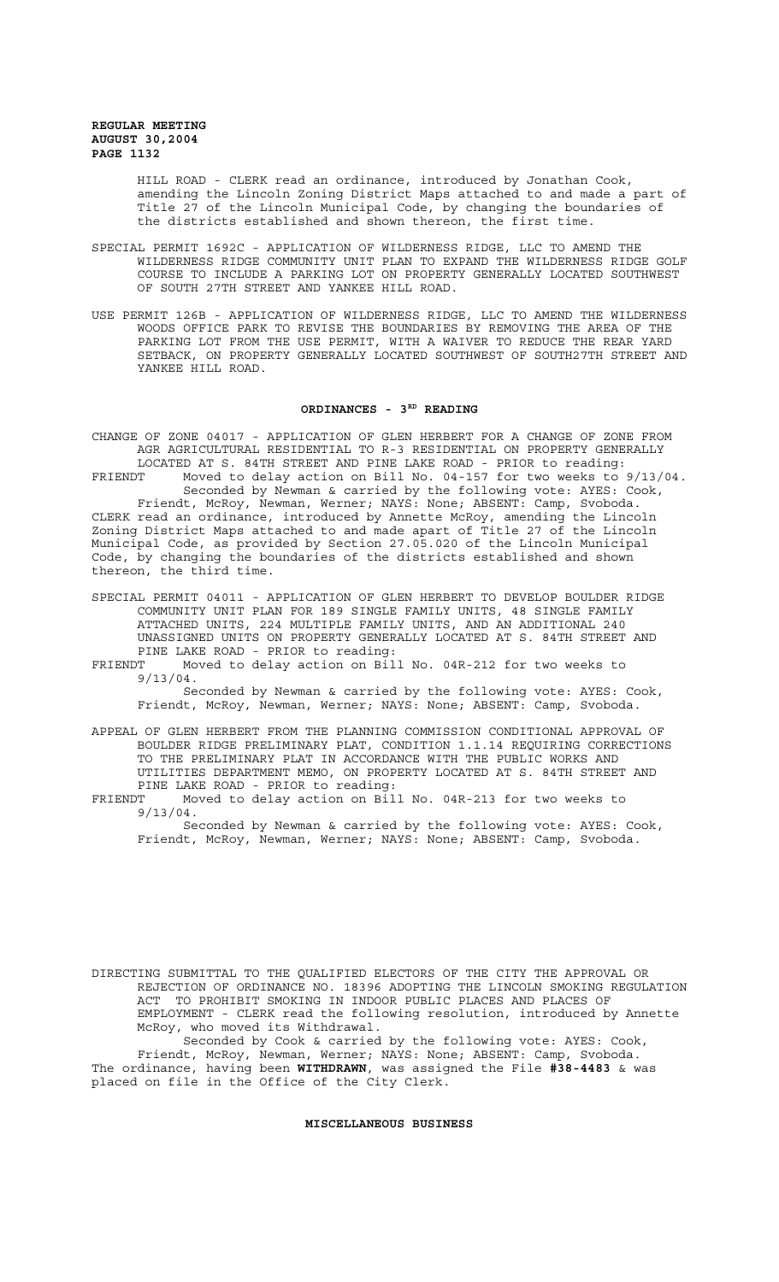> HILL ROAD - CLERK read an ordinance, introduced by Jonathan Cook, amending the Lincoln Zoning District Maps attached to and made a part of Title 27 of the Lincoln Municipal Code, by changing the boundaries of the districts established and shown thereon, the first time.

- SPECIAL PERMIT 1692C APPLICATION OF WILDERNESS RIDGE, LLC TO AMEND THE WILDERNESS RIDGE COMMUNITY UNIT PLAN TO EXPAND THE WILDERNESS RIDGE GOLF COURSE TO INCLUDE A PARKING LOT ON PROPERTY GENERALLY LOCATED SOUTHWEST OF SOUTH 27TH STREET AND YANKEE HILL ROAD.
- USE PERMIT 126B APPLICATION OF WILDERNESS RIDGE, LLC TO AMEND THE WILDERNESS WOODS OFFICE PARK TO REVISE THE BOUNDARIES BY REMOVING THE AREA OF THE PARKING LOT FROM THE USE PERMIT, WITH A WAIVER TO REDUCE THE REAR YARD SETBACK, ON PROPERTY GENERALLY LOCATED SOUTHWEST OF SOUTH27TH STREET AND YANKEE HILL ROAD.

## ORDINANCES - 3RD READING

CHANGE OF ZONE 04017 - APPLICATION OF GLEN HERBERT FOR A CHANGE OF ZONE FROM AGR AGRICULTURAL RESIDENTIAL TO R-3 RESIDENTIAL ON PROPERTY GENERALLY LOCATED AT S. 84TH STREET AND PINE LAKE ROAD - PRIOR to reading: FRIENDT Moved to delay action on Bill No. 04-157 for two weeks to 9/13/04.

Seconded by Newman & carried by the following vote: AYES: Cook, Friendt, McRoy, Newman, Werner; NAYS: None; ABSENT: Camp, Svoboda. CLERK read an ordinance, introduced by Annette McRoy, amending the Lincoln Zoning District Maps attached to and made apart of Title 27 of the Lincoln Municipal Code, as provided by Section 27.05.020 of the Lincoln Municipal Code, by changing the boundaries of the districts established and shown thereon, the third time.

- SPECIAL PERMIT 04011 APPLICATION OF GLEN HERBERT TO DEVELOP BOULDER RIDGE COMMUNITY UNIT PLAN FOR 189 SINGLE FAMILY UNITS, 48 SINGLE FAMILY ATTACHED UNITS, 224 MULTIPLE FAMILY UNITS, AND AN ADDITIONAL 240 UNASSIGNED UNITS ON PROPERTY GENERALLY LOCATED AT S. 84TH STREET AND PINE LAKE ROAD - PRIOR to reading:
- FRIENDT Moved to delay action on Bill No. 04R-212 for two weeks to 9/13/04.
	- Seconded by Newman & carried by the following vote: AYES: Cook, Friendt, McRoy, Newman, Werner; NAYS: None; ABSENT: Camp, Svoboda.
- APPEAL OF GLEN HERBERT FROM THE PLANNING COMMISSION CONDITIONAL APPROVAL OF BOULDER RIDGE PRELIMINARY PLAT, CONDITION 1.1.14 REQUIRING CORRECTIONS TO THE PRELIMINARY PLAT IN ACCORDANCE WITH THE PUBLIC WORKS AND UTILITIES DEPARTMENT MEMO, ON PROPERTY LOCATED AT S. 84TH STREET AND PINE LAKE ROAD - PRIOR to reading:
- FRIENDT Moved to delay action on Bill No. 04R-213 for two weeks to 9/13/04.

Seconded by Newman & carried by the following vote: AYES: Cook, Friendt, McRoy, Newman, Werner; NAYS: None; ABSENT: Camp, Svoboda.

DIRECTING SUBMITTAL TO THE QUALIFIED ELECTORS OF THE CITY THE APPROVAL OR REJECTION OF ORDINANCE NO. 18396 ADOPTING THE LINCOLN SMOKING REGULATION ACT TO PROHIBIT SMOKING IN INDOOR PUBLIC PLACES AND PLACES OF EMPLOYMENT - CLERK read the following resolution, introduced by Annette McRoy, who moved its Withdrawal.

Seconded by Cook & carried by the following vote: AYES: Cook, Friendt, McRoy, Newman, Werner; NAYS: None; ABSENT: Camp, Svoboda. The ordinance, having been **WITHDRAWN**, was assigned the File **#38-4483** & was placed on file in the Office of the City Clerk.

## **MISCELLANEOUS BUSINESS**